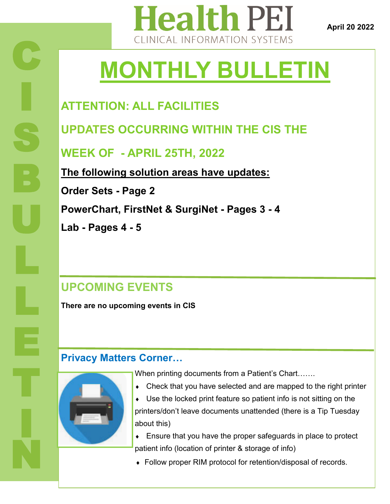

**April 20 2022**

# **MONTHLY BULLETIN**

### **ATTENTION: ALL FACILITIES**

**UPDATES OCCURRING WITHIN THE CIS THE** 

**WEEK OF - APRIL 25TH, 2022**

**The following solution areas have updates: Order Sets - Page 2 PowerChart, FirstNet & SurgiNet - Pages 3 - 4 Lab - Pages 4 - 5** 

### **UPCOMING EVENTS**

**There are no upcoming events in CIS**

#### **Privacy Matters Corner…**

When printing documents from a Patient's Chart…….

- Check that you have selected and are mapped to the right printer
- Use the locked print feature so patient info is not sitting on the printers/don't leave documents unattended (there is a Tip Tuesday about this)
- Ensure that you have the proper safeguards in place to protect patient info (location of printer & storage of info)
- Follow proper RIM protocol for retention/disposal of records.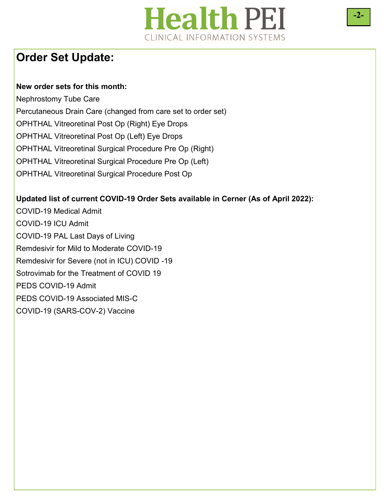## **Health PEI** CLINICAL INFORMATION SYSTEMS

#### **Order Set Update:**

#### **New order sets for this month:**

Nephrostomy Tube Care Percutaneous Drain Care (changed from care set to order set) OPHTHAL Vitreoretinal Post Op (Right) Eye Drops OPHTHAL Vitreoretinal Post Op (Left) Eye Drops OPHTHAL Vitreoretinal Surgical Procedure Pre Op (Right) OPHTHAL Vitreoretinal Surgical Procedure Pre Op (Left) OPHTHAL Vitreoretinal Surgical Procedure Post Op

#### **Updated list of current COVID-19 Order Sets available in Cerner (As of April 2022):**

COVID-19 Medical Admit COVID-19 ICU Admit COVID-19 PAL Last Days of Living Remdesivir for Mild to Moderate COVID-19 Remdesivir for Severe (not in ICU) COVID -19 Sotrovimab for the Treatment of COVID 19 PEDS COVID-19 Admit PEDS COVID-19 Associated MIS-C COVID-19 (SARS-COV-2) Vaccine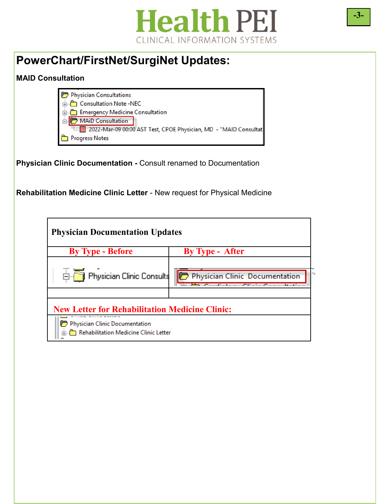

#### **PowerChart/FirstNet/SurgiNet Updates:**

#### **MAID Consultation**



**Physician Clinic Documentation -** Consult renamed to Documentation

**Rehabilitation Medicine Clinic Letter** - New request for Physical Medicine

| <b>Physician Documentation Updates</b>                                  |                                |  |  |
|-------------------------------------------------------------------------|--------------------------------|--|--|
| <b>By Type - Before</b>                                                 | <b>By Type - After</b>         |  |  |
|                                                                         |                                |  |  |
| <b>E</b> Physician Clinic Consults                                      | Physician Clinic Documentation |  |  |
|                                                                         |                                |  |  |
| <b>New Letter for Rehabilitation Medicine Clinic:</b>                   |                                |  |  |
| Physician Clinic Documentation<br>Rehabilitation Medicine Clinic Letter |                                |  |  |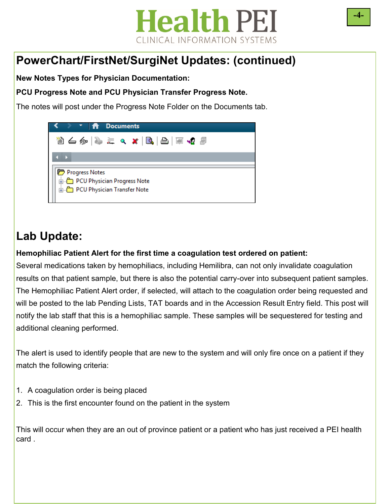## **Health PEI** CLINICAL INFORMATION SYSTEMS

### **PowerChart/FirstNet/SurgiNet Updates: (continued)**

**New Notes Types for Physician Documentation:** 

**PCU Progress Note and PCU Physician Transfer Progress Note.** 

The notes will post under the Progress Note Folder on the Documents tab.

## **Lab Update:**

#### **Hemophiliac Patient Alert for the first time a coagulation test ordered on patient:**

Several medications taken by hemophiliacs, including Hemilibra, can not only invalidate coagulation results on that patient sample, but there is also the potential carry-over into subsequent patient samples. The Hemophiliac Patient Alert order, if selected, will attach to the coagulation order being requested and will be posted to the lab Pending Lists, TAT boards and in the Accession Result Entry field. This post will notify the lab staff that this is a hemophiliac sample. These samples will be sequestered for testing and additional cleaning performed.

The alert is used to identify people that are new to the system and will only fire once on a patient if they match the following criteria:

- 1. A coagulation order is being placed
- 2. This is the first encounter found on the patient in the system

This will occur when they are an out of province patient or a patient who has just received a PEI health card .